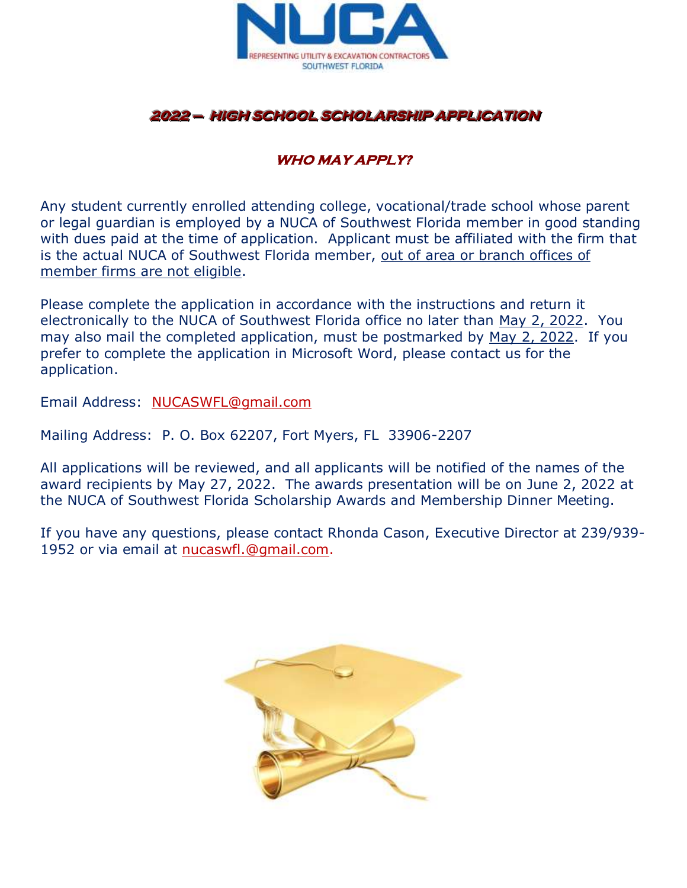

# 2022 — HIGH SCHOOL SCHOLARSHIP APPLICATION

## **WHO MAY APPLY?**

Any student currently enrolled attending college, vocational/trade school whose parent or legal guardian is employed by a NUCA of Southwest Florida member in good standing with dues paid at the time of application. Applicant must be affiliated with the firm that is the actual NUCA of Southwest Florida member, out of area or branch offices of member firms are not eligible.

Please complete the application in accordance with the instructions and return it electronically to the NUCA of Southwest Florida office no later than May 2, 2022. You may also mail the completed application, must be postmarked by May 2, 2022. If you prefer to complete the application in Microsoft Word, please contact us for the application.

Email Address: [NUCASWFL@gmail.com](mailto:NUCASWFL@gmail.com)

Mailing Address: P. O. Box 62207, Fort Myers, FL 33906-2207

All applications will be reviewed, and all applicants will be notified of the names of the award recipients by May 27, 2022. The awards presentation will be on June 2, 2022 at the NUCA of Southwest Florida Scholarship Awards and Membership Dinner Meeting.

If you have any questions, please contact Rhonda Cason, Executive Director at 239/939- 1952 or via email at [nucaswfl.@gmail.com.](mailto:nucaswfl.@gmail.com)

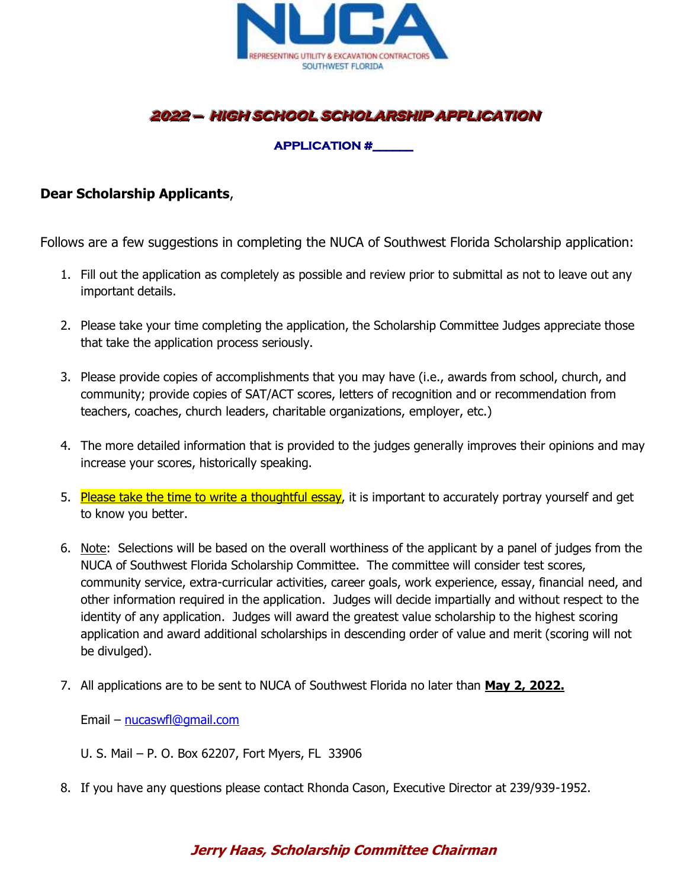

# 2022 — HIGH SCHOOL SCHOLARSHIP APPLICATION

## **APPLICATION #\_\_\_\_\_\_**

### **Dear Scholarship Applicants**,

Follows are a few suggestions in completing the NUCA of Southwest Florida Scholarship application:

- 1. Fill out the application as completely as possible and review prior to submittal as not to leave out any important details.
- 2. Please take your time completing the application, the Scholarship Committee Judges appreciate those that take the application process seriously.
- 3. Please provide copies of accomplishments that you may have (i.e., awards from school, church, and community; provide copies of SAT/ACT scores, letters of recognition and or recommendation from teachers, coaches, church leaders, charitable organizations, employer, etc.)
- 4. The more detailed information that is provided to the judges generally improves their opinions and may increase your scores, historically speaking.
- 5. Please take the time to write a thoughtful essay, it is important to accurately portray yourself and get to know you better.
- 6. Note: Selections will be based on the overall worthiness of the applicant by a panel of judges from the NUCA of Southwest Florida Scholarship Committee. The committee will consider test scores, community service, extra-curricular activities, career goals, work experience, essay, financial need, and other information required in the application. Judges will decide impartially and without respect to the identity of any application. Judges will award the greatest value scholarship to the highest scoring application and award additional scholarships in descending order of value and merit (scoring will not be divulged).
- 7. All applications are to be sent to NUCA of Southwest Florida no later than **May 2, 2022.**

Email – [nucaswfl@gmail.com](mailto:nucaswfl@gmail.com)

- U. S. Mail P. O. Box 62207, Fort Myers, FL 33906
- 8. If you have any questions please contact Rhonda Cason, Executive Director at 239/939-1952.

## **Jerry Haas, Scholarship Committee Chairman**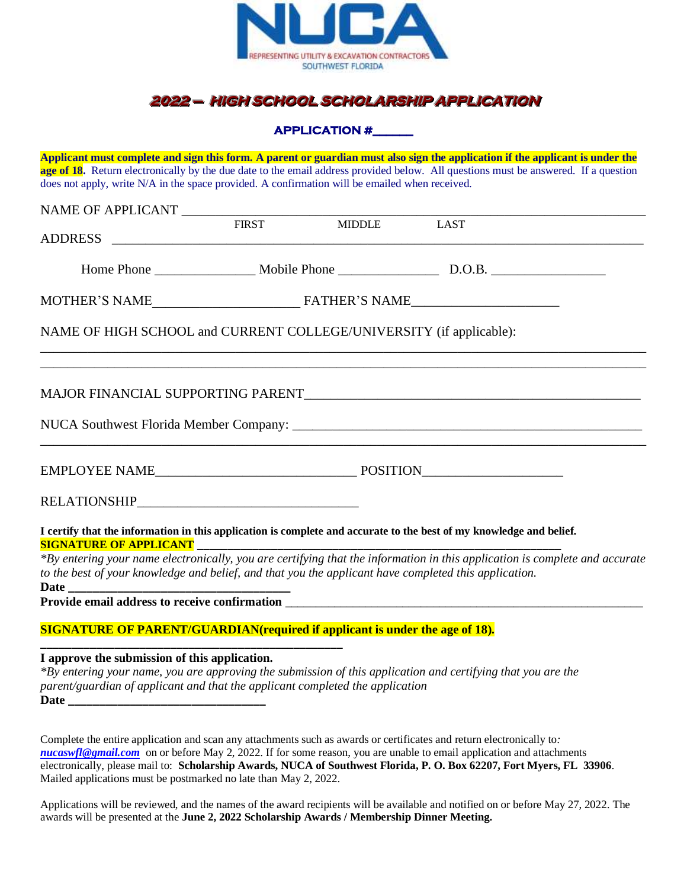

# **2022 - HIGH SCHOOL SCHOLARSHIP APPLICATION**

**APPLICATION #\_\_\_\_\_\_** 

**Applicant must complete and sign this form. A parent or guardian must also sign the application if the applicant is under the age of 18.** Return electronically by the due date to the email address provided below. All questions must be answered. If a question does not apply, write N/A in the space provided. A confirmation will be emailed when received.

|                                                                     |  | FIRST MIDDLE LAST |                                                                                                                             |  |
|---------------------------------------------------------------------|--|-------------------|-----------------------------------------------------------------------------------------------------------------------------|--|
|                                                                     |  |                   |                                                                                                                             |  |
|                                                                     |  |                   |                                                                                                                             |  |
| NAME OF HIGH SCHOOL and CURRENT COLLEGE/UNIVERSITY (if applicable): |  |                   |                                                                                                                             |  |
|                                                                     |  |                   |                                                                                                                             |  |
|                                                                     |  |                   |                                                                                                                             |  |
|                                                                     |  |                   |                                                                                                                             |  |
|                                                                     |  |                   |                                                                                                                             |  |
|                                                                     |  |                   | I certify that the information in this application is complete and accurate to the best of my knowledge and belief.         |  |
|                                                                     |  |                   | *By entering your name electronically, you are certifying that the information in this application is complete and accurate |  |

*to the best of your knowledge and belief, and that you the applicant have completed this application.* **Date \_\_\_\_\_\_\_\_\_\_\_\_\_\_\_\_\_\_\_\_\_\_\_\_\_\_\_\_\_\_\_\_\_\_\_\_**

**Provide email address to receive confirmation** \_\_\_\_\_\_\_\_\_\_\_\_\_\_\_\_\_\_\_\_\_\_\_\_\_\_\_\_\_\_\_\_\_\_\_\_\_\_\_\_\_\_\_\_\_\_\_\_\_\_\_\_\_\_\_\_\_\_

#### **SIGNATURE OF PARENT/GUARDIAN(required if applicant is under the age of 18). \_\_\_\_\_\_\_\_\_\_\_\_\_\_\_\_\_\_\_\_\_\_\_\_\_\_\_\_\_\_\_\_\_\_\_\_\_\_\_\_\_\_\_\_\_\_\_\_\_**

**I approve the submission of this application.**

*\*By entering your name, you are approving the submission of this application and certifying that you are the parent/guardian of applicant and that the applicant completed the application* **Date \_\_\_\_\_\_\_\_\_\_\_\_\_\_\_\_\_\_\_\_\_\_\_\_\_\_\_\_\_\_\_\_**

Complete the entire application and scan any attachments such as awards or certificates and return electronically to*: [nucaswfl@gmail.com](mailto:nucaswfl@gmail.com)* on or before May 2, 2022. If for some reason, you are unable to email application and attachments electronically, please mail to: **Scholarship Awards, NUCA of Southwest Florida, P. O. Box 62207, Fort Myers, FL 33906**. Mailed applications must be postmarked no late than May 2, 2022.

Applications will be reviewed, and the names of the award recipients will be available and notified on or before May 27, 2022. The awards will be presented at the **June 2, 2022 Scholarship Awards / Membership Dinner Meeting.**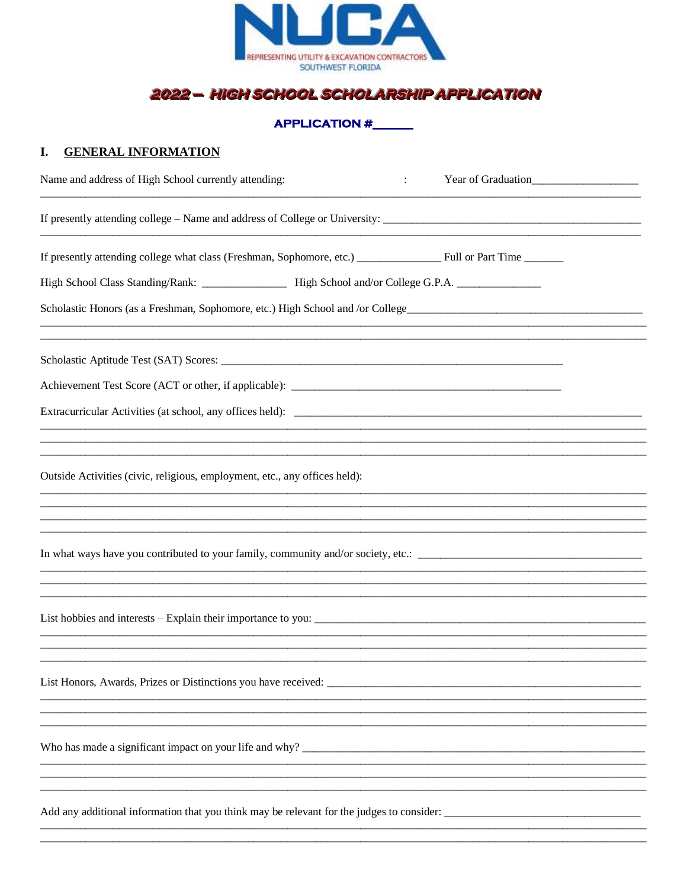

# 2022 - HIGH SCHOOL SCHOLARSHIP APPLICATION

#### **APPLICATION #**

#### I. **GENERAL INFORMATION**

| Name and address of High School currently attending:                                                 | Year of Graduation<br>$\ddot{\cdot}$ |
|------------------------------------------------------------------------------------------------------|--------------------------------------|
|                                                                                                      |                                      |
|                                                                                                      |                                      |
| High School Class Standing/Rank: ___________________ High School and/or College G.P.A. _____________ |                                      |
| Scholastic Honors (as a Freshman, Sophomore, etc.) High School and /or College______________________ |                                      |
|                                                                                                      |                                      |
|                                                                                                      |                                      |
|                                                                                                      |                                      |
|                                                                                                      |                                      |
| Outside Activities (civic, religious, employment, etc., any offices held):                           |                                      |
|                                                                                                      |                                      |
|                                                                                                      |                                      |
|                                                                                                      |                                      |
|                                                                                                      |                                      |
|                                                                                                      |                                      |
|                                                                                                      |                                      |
|                                                                                                      |                                      |
| Who has made a significant impact on your life and why?                                              |                                      |
|                                                                                                      |                                      |
| Add any additional information that you think may be relevant for the judges to consider:            |                                      |